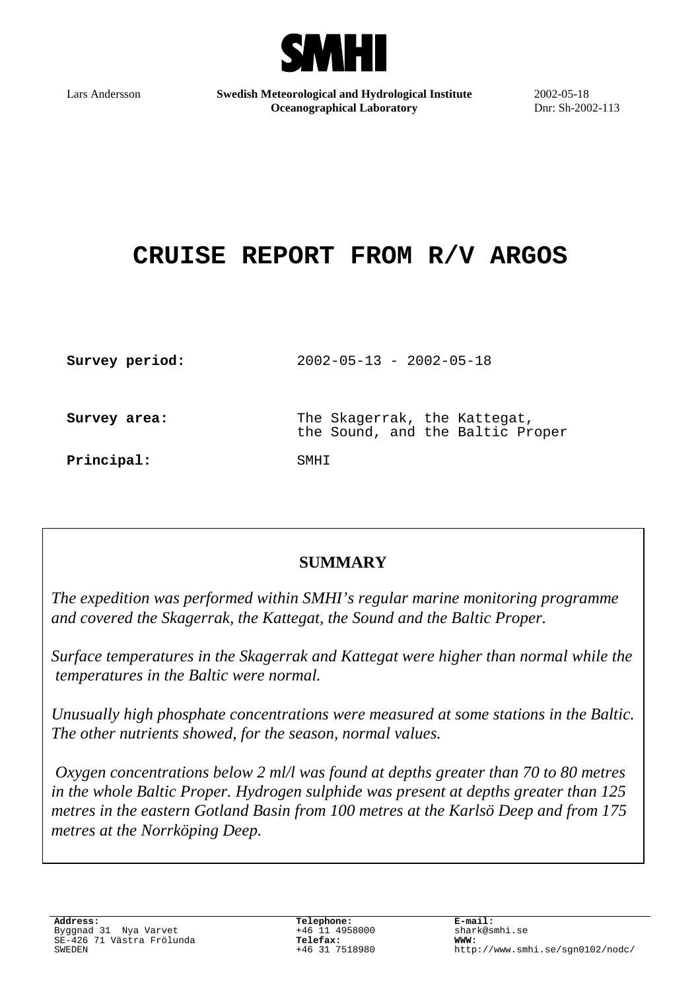

Lars Andersson **Swedish Meteorological and Hydrological Institute Oceanographical Laboratory**

2002-05-18 Dnr: Sh-2002-113

# **CRUISE REPORT FROM R/V ARGOS**

| Survey period: | $2002 - 05 - 13 - 2002 - 05 - 18$                                |
|----------------|------------------------------------------------------------------|
| Survey area:   | The Skagerrak, the Kattegat,<br>the Sound, and the Baltic Proper |
| Principal:     | SMHT                                                             |

## **SUMMARY**

*The expedition was performed within SMHI's regular marine monitoring programme and covered the Skagerrak, the Kattegat, the Sound and the Baltic Proper.*

*Surface temperatures in the Skagerrak and Kattegat were higher than normal while the temperatures in the Baltic were normal.*

*Unusually high phosphate concentrations were measured at some stations in the Baltic. The other nutrients showed, for the season, normal values.*

 *Oxygen concentrations below 2 ml/l was found at depths greater than 70 to 80 metres in the whole Baltic Proper. Hydrogen sulphide was present at depths greater than 125 metres in the eastern Gotland Basin from 100 metres at the Karlsö Deep and from 175 metres at the Norrköping Deep.*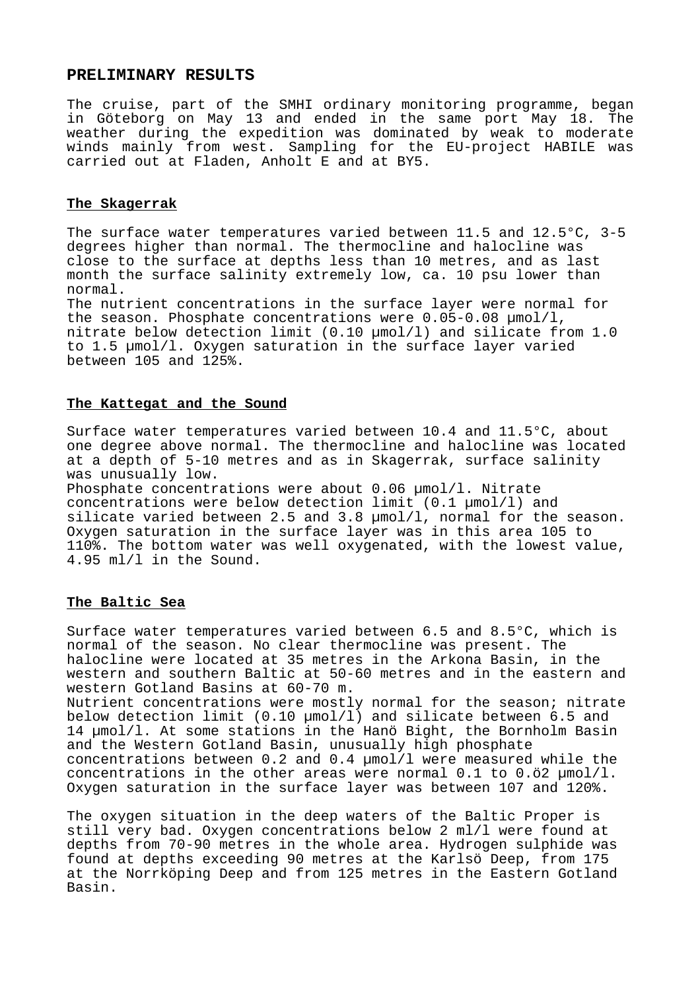#### **PRELIMINARY RESULTS**

The cruise, part of the SMHI ordinary monitoring programme, began in Göteborg on May 13 and ended in the same port May 18. The weather during the expedition was dominated by weak to moderate winds mainly from west. Sampling for the EU-project HABILE was carried out at Fladen, Anholt E and at BY5.

#### **The Skagerrak**

The surface water temperatures varied between 11.5 and 12.5°C, 3-5 degrees higher than normal. The thermocline and halocline was close to the surface at depths less than 10 metres, and as last month the surface salinity extremely low, ca. 10 psu lower than normal.

The nutrient concentrations in the surface layer were normal for the season. Phosphate concentrations were 0.05-0.08 µmol/l, nitrate below detection limit  $(0.10 \text{ mm})/1$ ) and silicate from 1.0 to 1.5 µmol/l. Oxygen saturation in the surface layer varied between 105 and 125%.

#### **The Kattegat and the Sound**

Surface water temperatures varied between 10.4 and 11.5°C, about one degree above normal. The thermocline and halocline was located at a depth of 5-10 metres and as in Skagerrak, surface salinity was unusually low.

Phosphate concentrations were about 0.06  $\mu$ mol/l. Nitrate concentrations were below detection limit (0.1 µmol/l) and silicate varied between 2.5 and 3.8 µmol/l, normal for the season. Oxygen saturation in the surface layer was in this area 105 to 110%. The bottom water was well oxygenated, with the lowest value, 4.95 ml/l in the Sound.

#### **The Baltic Sea**

Surface water temperatures varied between 6.5 and 8.5°C, which is normal of the season. No clear thermocline was present. The halocline were located at 35 metres in the Arkona Basin, in the western and southern Baltic at 50-60 metres and in the eastern and western Gotland Basins at 60-70 m. Nutrient concentrations were mostly normal for the season; nitrate below detection limit (0.10 µmol/l) and silicate between 6.5 and 14 µmol/l. At some stations in the Hanö Bight, the Bornholm Basin and the Western Gotland Basin, unusually high phosphate concentrations between 0.2 and 0.4 µmol/l were measured while the

concentrations in the other areas were normal  $0.1$  to  $0.02$   $\mu$ mol/l. Oxygen saturation in the surface layer was between 107 and 120%.

The oxygen situation in the deep waters of the Baltic Proper is still very bad. Oxygen concentrations below 2 ml/l were found at depths from 70-90 metres in the whole area. Hydrogen sulphide was found at depths exceeding 90 metres at the Karlsö Deep, from 175 at the Norrköping Deep and from 125 metres in the Eastern Gotland Basin.